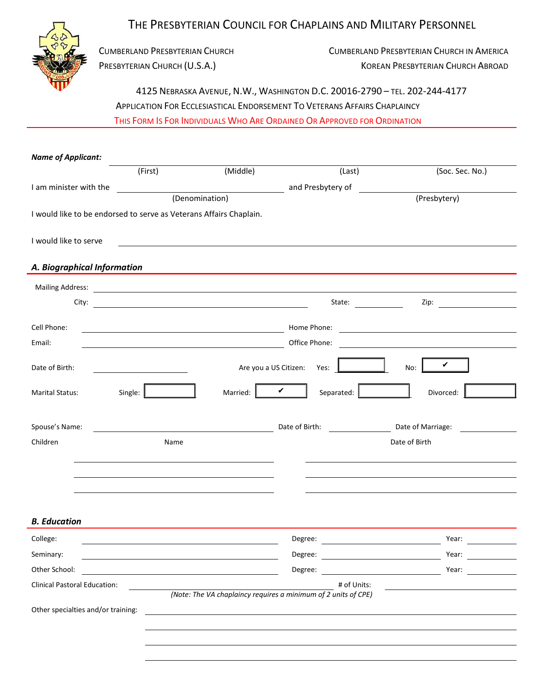# THE PRESBYTERIAN COUNCIL FOR CHAPLAINS AND MILITARY PERSONNEL



CUMBERLAND PRESBYTERIAN CHURCH CUMBERLAND PRESBYTERIAN CHURCH IN AMERICA PRESBYTERIAN CHURCH (U.S.A.) KOREAN PRESBYTERIAN CHURCH ABROAD

4125 NEBRASKA AVENUE, N.W., WASHINGTON D.C. 20016-2790 – TEL. 202-244-4177 APPLICATION FOR ECCLESIASTICAL ENDORSEMENT TO VETERANS AFFAIRS CHAPLAINCY THIS FORM IS FOR INDIVIDUALS WHO ARE ORDAINED OR APPROVED FOR ORDINATION

| <b>Name of Applicant:</b>                                          |         |                                                                                                                        |                   |                                                                                                                                                                                                                                |                                                      |
|--------------------------------------------------------------------|---------|------------------------------------------------------------------------------------------------------------------------|-------------------|--------------------------------------------------------------------------------------------------------------------------------------------------------------------------------------------------------------------------------|------------------------------------------------------|
|                                                                    | (First) | (Middle)                                                                                                               |                   | (Last)                                                                                                                                                                                                                         | (Soc. Sec. No.)                                      |
| I am minister with the                                             |         |                                                                                                                        | and Presbytery of |                                                                                                                                                                                                                                |                                                      |
|                                                                    |         | (Denomination)                                                                                                         |                   |                                                                                                                                                                                                                                | (Presbytery)                                         |
| I would like to be endorsed to serve as Veterans Affairs Chaplain. |         |                                                                                                                        |                   |                                                                                                                                                                                                                                |                                                      |
|                                                                    |         |                                                                                                                        |                   |                                                                                                                                                                                                                                |                                                      |
| I would like to serve                                              |         |                                                                                                                        |                   |                                                                                                                                                                                                                                |                                                      |
| A. Biographical Information                                        |         |                                                                                                                        |                   |                                                                                                                                                                                                                                |                                                      |
|                                                                    |         |                                                                                                                        |                   |                                                                                                                                                                                                                                |                                                      |
| City:                                                              |         | <u> 1989 - Johann Stoff, deutscher Stoffen und der Stoffen und der Stoffen und der Stoffen und der Stoffen und der</u> |                   | State: The State of the State of the State of the State of the State of the State of the State of the State of the State of the State of the State of the State of the State of the State of the State of the State of the Sta | Zip:                                                 |
|                                                                    |         |                                                                                                                        |                   |                                                                                                                                                                                                                                |                                                      |
| Cell Phone:                                                        |         |                                                                                                                        | Home Phone:       |                                                                                                                                                                                                                                | <u> 1980 - Andrea Albert III, martin amerikan ba</u> |
| Email:                                                             |         | <u> 1980 - Johann Barbara, martxa alemaniar amerikan a</u>                                                             | Office Phone:     |                                                                                                                                                                                                                                |                                                      |
| Date of Birth:                                                     |         | Are you a US Citizen:                                                                                                  | Yes:              |                                                                                                                                                                                                                                | V<br>No:                                             |
| <b>Marital Status:</b>                                             | Single: | Married:                                                                                                               | V<br>Separated:   |                                                                                                                                                                                                                                | Divorced:                                            |
|                                                                    |         |                                                                                                                        |                   |                                                                                                                                                                                                                                |                                                      |
|                                                                    |         |                                                                                                                        |                   |                                                                                                                                                                                                                                |                                                      |
| Spouse's Name:                                                     |         |                                                                                                                        | Date of Birth:    |                                                                                                                                                                                                                                | Date of Marriage:                                    |
| Children                                                           | Name    |                                                                                                                        |                   |                                                                                                                                                                                                                                | Date of Birth                                        |
|                                                                    |         |                                                                                                                        |                   |                                                                                                                                                                                                                                |                                                      |
|                                                                    |         |                                                                                                                        |                   |                                                                                                                                                                                                                                |                                                      |
|                                                                    |         |                                                                                                                        |                   |                                                                                                                                                                                                                                |                                                      |
|                                                                    |         |                                                                                                                        |                   |                                                                                                                                                                                                                                |                                                      |
| <b>B.</b> Education                                                |         |                                                                                                                        |                   |                                                                                                                                                                                                                                |                                                      |
| College:                                                           |         |                                                                                                                        | Degree:           |                                                                                                                                                                                                                                | Year:                                                |
| Seminary:                                                          |         |                                                                                                                        |                   |                                                                                                                                                                                                                                | Year:                                                |
| Other School:                                                      |         |                                                                                                                        | Degree:           |                                                                                                                                                                                                                                | Year:                                                |
| <b>Clinical Pastoral Education:</b>                                |         |                                                                                                                        |                   | # of Units:                                                                                                                                                                                                                    |                                                      |
|                                                                    |         | (Note: The VA chaplaincy requires a minimum of 2 units of CPE)                                                         |                   |                                                                                                                                                                                                                                |                                                      |
| Other specialties and/or training:                                 |         |                                                                                                                        |                   |                                                                                                                                                                                                                                |                                                      |
|                                                                    |         |                                                                                                                        |                   |                                                                                                                                                                                                                                |                                                      |
|                                                                    |         |                                                                                                                        |                   |                                                                                                                                                                                                                                |                                                      |
|                                                                    |         |                                                                                                                        |                   |                                                                                                                                                                                                                                |                                                      |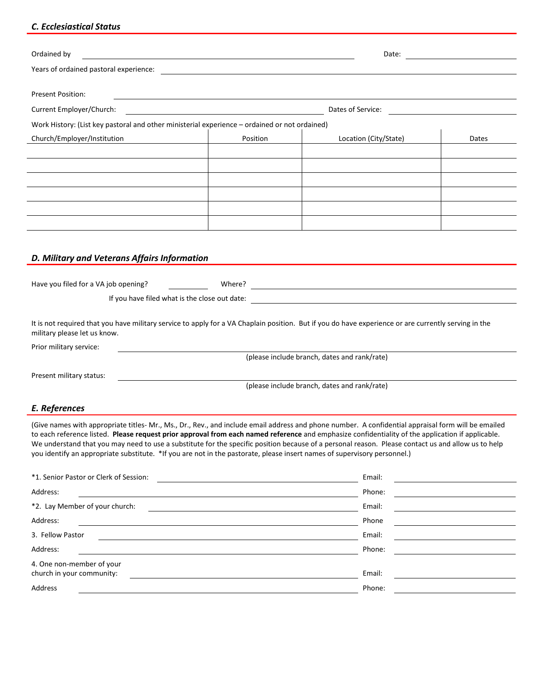# *C. Ecclesiastical Status*

| Ordained by                                                                          |                                                                                                                                                      |                                                                                                                                                                                                                                      |       |  |  |  |  |  |
|--------------------------------------------------------------------------------------|------------------------------------------------------------------------------------------------------------------------------------------------------|--------------------------------------------------------------------------------------------------------------------------------------------------------------------------------------------------------------------------------------|-------|--|--|--|--|--|
|                                                                                      |                                                                                                                                                      |                                                                                                                                                                                                                                      |       |  |  |  |  |  |
|                                                                                      |                                                                                                                                                      |                                                                                                                                                                                                                                      |       |  |  |  |  |  |
|                                                                                      | <b>Present Position:</b>                                                                                                                             |                                                                                                                                                                                                                                      |       |  |  |  |  |  |
|                                                                                      | Dates of Service:<br>Current Employer/Church:<br><u> 1980 - Johann Barbara, martin amerikan personal (</u>                                           |                                                                                                                                                                                                                                      |       |  |  |  |  |  |
|                                                                                      | Work History: (List key pastoral and other ministerial experience - ordained or not ordained)                                                        |                                                                                                                                                                                                                                      |       |  |  |  |  |  |
| Church/Employer/Institution                                                          | Position                                                                                                                                             | Location (City/State)                                                                                                                                                                                                                | Dates |  |  |  |  |  |
|                                                                                      |                                                                                                                                                      |                                                                                                                                                                                                                                      |       |  |  |  |  |  |
|                                                                                      |                                                                                                                                                      |                                                                                                                                                                                                                                      |       |  |  |  |  |  |
|                                                                                      |                                                                                                                                                      |                                                                                                                                                                                                                                      |       |  |  |  |  |  |
|                                                                                      |                                                                                                                                                      |                                                                                                                                                                                                                                      |       |  |  |  |  |  |
|                                                                                      |                                                                                                                                                      |                                                                                                                                                                                                                                      |       |  |  |  |  |  |
|                                                                                      |                                                                                                                                                      |                                                                                                                                                                                                                                      |       |  |  |  |  |  |
| D. Military and Veterans Affairs Information<br>Have you filed for a VA job opening? |                                                                                                                                                      | Where? <u>All and the contract of the contract of the contract of the contract of the contract of the contract of the contract of the contract of the contract of the contract of the contract of the contract of the contract o</u> |       |  |  |  |  |  |
|                                                                                      |                                                                                                                                                      |                                                                                                                                                                                                                                      |       |  |  |  |  |  |
| military please let us know.                                                         | It is not required that you have military service to apply for a VA Chaplain position. But if you do have experience or are currently serving in the |                                                                                                                                                                                                                                      |       |  |  |  |  |  |
| Prior military service:                                                              |                                                                                                                                                      | (please include branch, dates and rank/rate)                                                                                                                                                                                         |       |  |  |  |  |  |
|                                                                                      |                                                                                                                                                      |                                                                                                                                                                                                                                      |       |  |  |  |  |  |
|                                                                                      |                                                                                                                                                      |                                                                                                                                                                                                                                      |       |  |  |  |  |  |
| Present military status:                                                             |                                                                                                                                                      |                                                                                                                                                                                                                                      |       |  |  |  |  |  |
|                                                                                      |                                                                                                                                                      | (please include branch, dates and rank/rate)                                                                                                                                                                                         |       |  |  |  |  |  |
| E. References                                                                        |                                                                                                                                                      |                                                                                                                                                                                                                                      |       |  |  |  |  |  |

| *1. Senior Pastor or Clerk of Session: | Email: |
|----------------------------------------|--------|
| Address:                               | Phone: |
| *2. Lay Member of your church:         | Email: |
| Address:                               | Phone  |
| 3. Fellow Pastor                       | Email: |
| Address:                               | Phone: |
| 4. One non-member of your              |        |
| church in your community:              | Email: |
| Address                                | Phone: |
|                                        |        |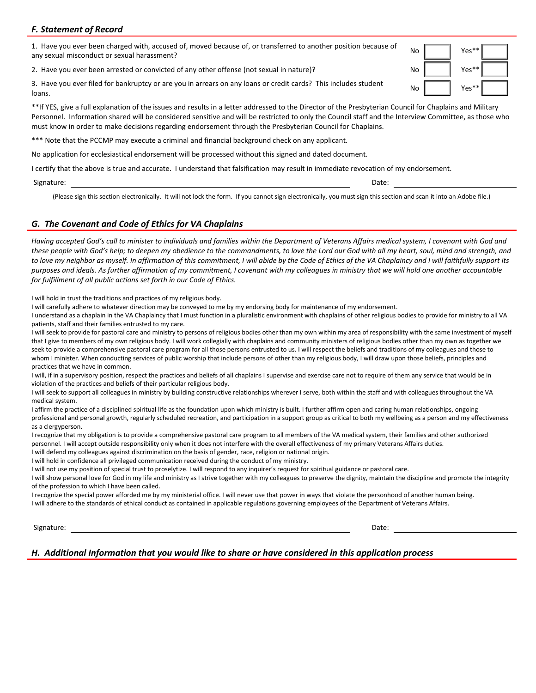# *F. Statement of Record*

| 1. Have you ever been charged with, accused of, moved because of, or transferred to another position because of<br>any sexual misconduct or sexual harassment? | N <sub>0</sub> | $Yes**$                |
|----------------------------------------------------------------------------------------------------------------------------------------------------------------|----------------|------------------------|
| 2. Have you ever been arrested or convicted of any other offense (not sexual in nature)?                                                                       |                | No   Yes <sup>**</sup> |
| 3. Have you ever filed for bankruptcy or are you in arrears on any loans or credit cards? This includes student<br>loans.                                      |                | $\mathsf{No}$   Yes**  |

\*\*If YES, give a full explanation of the issues and results in a letter addressed to the Director of the Presbyterian Council for Chaplains and Military Personnel. Information shared will be considered sensitive and will be restricted to only the Council staff and the Interview Committee, as those who must know in order to make decisions regarding endorsement through the Presbyterian Council for Chaplains.

\*\*\* Note that the PCCMP may execute a criminal and financial background check on any applicant.

No application for ecclesiastical endorsement will be processed without this signed and dated document.

I certify that the above is true and accurate. I understand that falsification may result in immediate revocation of my endorsement.

Signature: Date:

(Please sign this section electronically. It will not lock the form. If you cannot sign electronically, you must sign this section and scan it into an Adobe file.)

#### *G. The Covenant and Code of Ethics for VA Chaplains*

*Having accepted God's call to minister to individuals and families within the Department of Veterans Affairs medical system, I covenant with God and these people with God's help; to deepen my obedience to the commandments, to love the Lord our God with all my heart, soul, mind and strength, and to love my neighbor as myself. In affirmation of this commitment, I will abide by the Code of Ethics of the VA Chaplaincy and I will faithfully support its purposes and ideals. As further affirmation of my commitment, I covenant with my colleagues in ministry that we will hold one another accountable for fulfillment of all public actions set forth in our Code of Ethics.*

I will hold in trust the traditions and practices of my religious body.

I will carefully adhere to whatever direction may be conveyed to me by my endorsing body for maintenance of my endorsement.

I understand as a chaplain in the VA Chaplaincy that I must function in a pluralistic environment with chaplains of other religious bodies to provide for ministry to all VA patients, staff and their families entrusted to my care.

I will seek to provide for pastoral care and ministry to persons of religious bodies other than my own within my area of responsibility with the same investment of myself that I give to members of my own religious body. I will work collegially with chaplains and community ministers of religious bodies other than my own as together we seek to provide a comprehensive pastoral care program for all those persons entrusted to us. I will respect the beliefs and traditions of my colleagues and those to whom I minister. When conducting services of public worship that include persons of other than my religious body, I will draw upon those beliefs, principles and practices that we have in common.

I will, if in a supervisory position, respect the practices and beliefs of all chaplains I supervise and exercise care not to require of them any service that would be in violation of the practices and beliefs of their particular religious body.

I will seek to support all colleagues in ministry by building constructive relationships wherever I serve, both within the staff and with colleagues throughout the VA medical system.

I affirm the practice of a disciplined spiritual life as the foundation upon which ministry is built. I further affirm open and caring human relationships, ongoing professional and personal growth, regularly scheduled recreation, and participation in a support group as critical to both my wellbeing as a person and my effectiveness as a clergyperson.

I recognize that my obligation is to provide a comprehensive pastoral care program to all members of the VA medical system, their families and other authorized personnel. I will accept outside responsibility only when it does not interfere with the overall effectiveness of my primary Veterans Affairs duties.

I will defend my colleagues against discrimination on the basis of gender, race, religion or national origin.

I will hold in confidence all privileged communication received during the conduct of my ministry.

I will not use my position of special trust to proselytize. I will respond to any inquirer's request for spiritual guidance or pastoral care.

I will show personal love for God in my life and ministry as I strive together with my colleagues to preserve the dignity, maintain the discipline and promote the integrity of the profession to which I have been called.

I recognize the special power afforded me by my ministerial office. I will never use that power in ways that violate the personhood of another human being. I will adhere to the standards of ethical conduct as contained in applicable regulations governing employees of the Department of Veterans Affairs.

Signature: Date:

*H. Additional Information that you would like to share or have considered in this application process*